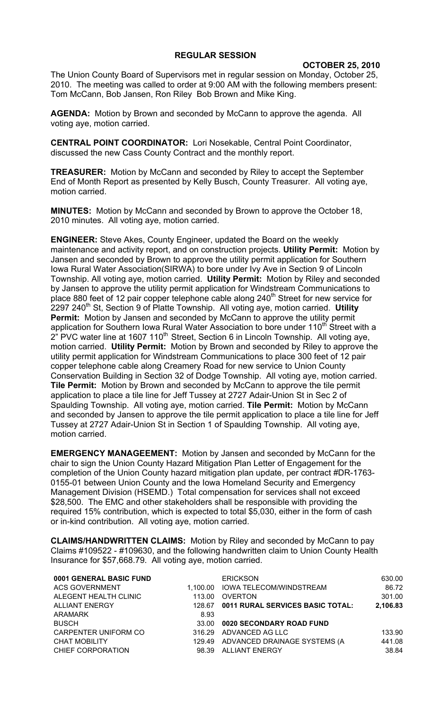## **REGULAR SESSION**

**OCTOBER 25, 2010**

The Union County Board of Supervisors met in regular session on Monday, October 25, 2010. The meeting was called to order at 9:00 AM with the following members present: Tom McCann, Bob Jansen, Ron Riley Bob Brown and Mike King.

**AGENDA:** Motion by Brown and seconded by McCann to approve the agenda. All voting aye, motion carried.

**CENTRAL POINT COORDINATOR:** Lori Nosekable, Central Point Coordinator, discussed the new Cass County Contract and the monthly report.

**TREASURER:** Motion by McCann and seconded by Riley to accept the September End of Month Report as presented by Kelly Busch, County Treasurer. All voting aye, motion carried.

**MINUTES:** Motion by McCann and seconded by Brown to approve the October 18, 2010 minutes. All voting aye, motion carried.

**ENGINEER:** Steve Akes, County Engineer, updated the Board on the weekly maintenance and activity report, and on construction projects. **Utility Permit:** Motion by Jansen and seconded by Brown to approve the utility permit application for Southern Iowa Rural Water Association(SIRWA) to bore under Ivy Ave in Section 9 of Lincoln Township. All voting aye, motion carried. **Utility Permit:** Motion by Riley and seconded by Jansen to approve the utility permit application for Windstream Communications to place 880 feet of 12 pair copper telephone cable along 240<sup>th</sup> Street for new service for 2297 240<sup>th</sup> St, Section 9 of Platte Township. All voting aye, motion carried. Utility **Permit:** Motion by Jansen and seconded by McCann to approve the utility permit application for Southern Iowa Rural Water Association to bore under 110<sup>th</sup> Street with a  $2^{\degree}$  PVC water line at 1607 110<sup>th</sup> Street, Section 6 in Lincoln Township. All voting aye, motion carried. **Utility Permit:** Motion by Brown and seconded by Riley to approve the utility permit application for Windstream Communications to place 300 feet of 12 pair copper telephone cable along Creamery Road for new service to Union County Conservation Building in Section 32 of Dodge Township. All voting aye, motion carried. **Tile Permit:** Motion by Brown and seconded by McCann to approve the tile permit application to place a tile line for Jeff Tussey at 2727 Adair-Union St in Sec 2 of Spaulding Township. All voting aye, motion carried. **Tile Permit:** Motion by McCann and seconded by Jansen to approve the tile permit application to place a tile line for Jeff Tussey at 2727 Adair-Union St in Section 1 of Spaulding Township. All voting aye, motion carried.

**EMERGENCY MANAGEEMENT:** Motion by Jansen and seconded by McCann for the chair to sign the Union County Hazard Mitigation Plan Letter of Engagement for the completion of the Union County hazard mitigation plan update, per contract #DR-1763- 0155-01 between Union County and the Iowa Homeland Security and Emergency Management Division (HSEMD.) Total compensation for services shall not exceed \$28,500. The EMC and other stakeholders shall be responsible with providing the required 15% contribution, which is expected to total \$5,030, either in the form of cash or in-kind contribution. All voting aye, motion carried.

**CLAIMS/HANDWRITTEN CLAIMS:** Motion by Riley and seconded by McCann to pay Claims #109522 - #109630, and the following handwritten claim to Union County Health Insurance for \$57,668.79. All voting aye, motion carried.

| 0001 GENERAL BASIC FUND |          | <b>ERICKSON</b>                     | 630.00   |
|-------------------------|----------|-------------------------------------|----------|
| <b>ACS GOVERNMENT</b>   | 1.100.00 | <b>IOWA TELECOM/WINDSTREAM</b>      | 86.72    |
| ALEGENT HEALTH CLINIC   | 113.00   | <b>OVERTON</b>                      | 301.00   |
| <b>ALLIANT ENERGY</b>   | 128.67   | 0011 RURAL SERVICES BASIC TOTAL:    | 2,106.83 |
| ARAMARK                 | 8.93     |                                     |          |
| <b>BUSCH</b>            | 33.00    | 0020 SECONDARY ROAD FUND            |          |
| CARPENTER UNIFORM CO    | 316.29   | ADVANCED AG LLC                     | 133.90   |
| <b>CHAT MOBILITY</b>    |          | 129.49 ADVANCED DRAINAGE SYSTEMS (A | 441.08   |
| CHIEF CORPORATION       | 98.39    | ALLIANT ENERGY                      | 38.84    |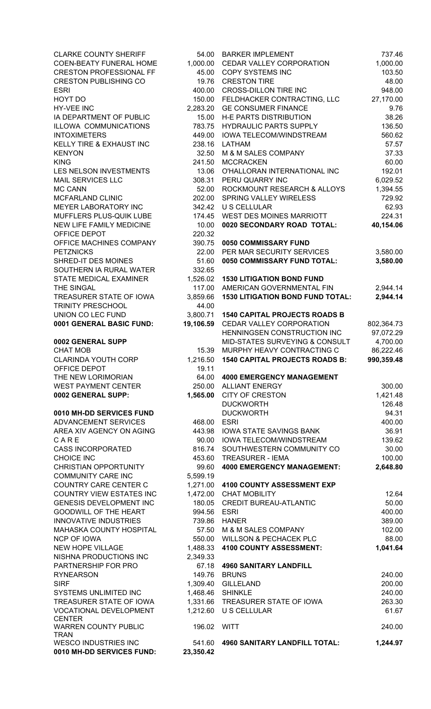| <b>CLARKE COUNTY SHERIFF</b>                               | 54.00               | <b>BARKER IMPLEMENT</b>                       | 737.46          |
|------------------------------------------------------------|---------------------|-----------------------------------------------|-----------------|
| COEN-BEATY FUNERAL HOME                                    | 1,000.00            | CEDAR VALLEY CORPORATION                      | 1,000.00        |
| <b>CRESTON PROFESSIONAL FF</b>                             | 45.00               | <b>COPY SYSTEMS INC</b>                       | 103.50          |
| <b>CRESTON PUBLISHING CO</b>                               | 19.76               | <b>CRESTON TIRE</b>                           | 48.00           |
| <b>ESRI</b>                                                | 400.00              | <b>CROSS-DILLON TIRE INC</b>                  | 948.00          |
| HOYT DO                                                    | 150.00              | FELDHACKER CONTRACTING, LLC                   | 27,170.00       |
| HY-VEE INC                                                 | 2,283.20            | <b>GE CONSUMER FINANCE</b>                    | 9.76            |
| IA DEPARTMENT OF PUBLIC                                    | 15.00               | <b>H-E PARTS DISTRIBUTION</b>                 | 38.26           |
| <b>ILLOWA COMMUNICATIONS</b>                               | 783.75              | HYDRAULIC PARTS SUPPLY                        | 136.50          |
| <b>INTOXIMETERS</b>                                        | 449.00              | IOWA TELECOM/WINDSTREAM                       | 560.62          |
| KELLY TIRE & EXHAUST INC                                   | 238.16              | <b>LATHAM</b>                                 | 57.57           |
| <b>KENYON</b>                                              | 32.50               | M & M SALES COMPANY                           | 37.33           |
| <b>KING</b>                                                | 241.50              | <b>MCCRACKEN</b>                              | 60.00           |
| LES NELSON INVESTMENTS                                     | 13.06               | O'HALLORAN INTERNATIONAL INC                  | 192.01          |
| MAIL SERVICES LLC                                          | 308.31              | PERU QUARRY INC                               | 6,029.52        |
| MC CANN                                                    | 52.00               | ROCKMOUNT RESEARCH & ALLOYS                   | 1,394.55        |
| MCFARLAND CLINIC                                           | 202.00              | SPRING VALLEY WIRELESS<br><b>U S CELLULAR</b> | 729.92          |
| MEYER LABORATORY INC                                       | 342.42              |                                               | 62.93<br>224.31 |
| MUFFLERS PLUS-QUIK LUBE<br><b>NEW LIFE FAMILY MEDICINE</b> | 174.45              | WEST DES MOINES MARRIOTT                      |                 |
| OFFICE DEPOT                                               | 10.00<br>220.32     | 0020 SECONDARY ROAD TOTAL:                    | 40,154.06       |
| OFFICE MACHINES COMPANY                                    | 390.75              | 0050 COMMISSARY FUND                          |                 |
| <b>PETZNICKS</b>                                           | 22.00               | PER MAR SECURITY SERVICES                     | 3,580.00        |
| SHRED-IT DES MOINES                                        | 51.60               | 0050 COMMISSARY FUND TOTAL:                   | 3,580.00        |
| SOUTHERN IA RURAL WATER                                    | 332.65              |                                               |                 |
| STATE MEDICAL EXAMINER                                     | 1,526.02            | <b>1530 LITIGATION BOND FUND</b>              |                 |
| THE SINGAL                                                 | 117.00              | AMERICAN GOVERNMENTAL FIN                     | 2,944.14        |
| TREASURER STATE OF IOWA                                    | 3,859.66            | <b>1530 LITIGATION BOND FUND TOTAL:</b>       | 2,944.14        |
| TRINITY PRESCHOOL                                          | 44.00               |                                               |                 |
| UNION CO LEC FUND                                          | 3,800.71            | <b>1540 CAPITAL PROJECTS ROADS B</b>          |                 |
| 0001 GENERAL BASIC FUND:                                   | 19,106.59           | CEDAR VALLEY CORPORATION                      | 802,364.73      |
|                                                            |                     | HENNINGSEN CONSTRUCTION INC                   | 97,072.29       |
| 0002 GENERAL SUPP                                          |                     | <b>MID-STATES SURVEYING &amp; CONSULT</b>     | 4,700.00        |
| <b>CHAT MOB</b>                                            | 15.39               | MURPHY HEAVY CONTRACTING C                    | 86,222.46       |
|                                                            |                     |                                               |                 |
|                                                            |                     | <b>1540 CAPITAL PROJECTS ROADS B:</b>         |                 |
| <b>CLARINDA YOUTH CORP</b>                                 | 1,216.50<br>19.11   |                                               | 990,359.48      |
| OFFICE DEPOT<br>THE NEW LORIMORIAN                         | 64.00               | <b>4000 EMERGENCY MANAGEMENT</b>              |                 |
| WEST PAYMENT CENTER                                        | 250.00              | <b>ALLIANT ENERGY</b>                         | 300.00          |
| 0002 GENERAL SUPP:                                         | 1,565.00            | <b>CITY OF CRESTON</b>                        | 1,421.48        |
|                                                            |                     | <b>DUCKWORTH</b>                              | 126.48          |
| 0010 MH-DD SERVICES FUND                                   |                     | <b>DUCKWORTH</b>                              | 94.31           |
| <b>ADVANCEMENT SERVICES</b>                                | 468.00              | <b>ESRI</b>                                   | 400.00          |
| AREA XIV AGENCY ON AGING                                   | 443.98              | <b>IOWA STATE SAVINGS BANK</b>                | 36.91           |
| CARE                                                       | 90.00               | <b>IOWA TELECOM/WINDSTREAM</b>                | 139.62          |
| <b>CASS INCORPORATED</b>                                   | 816.74              | SOUTHWESTERN COMMUNITY CO                     | 30.00           |
| CHOICE INC                                                 | 453.60              | <b>TREASURER - IEMA</b>                       | 100.00          |
| <b>CHRISTIAN OPPORTUNITY</b>                               | 99.60               | <b>4000 EMERGENCY MANAGEMENT:</b>             | 2,648.80        |
| <b>COMMUNITY CARE INC</b>                                  | 5,599.19            |                                               |                 |
| COUNTRY CARE CENTER C                                      |                     | 1,271.00 4100 COUNTY ASSESSMENT EXP           |                 |
| COUNTRY VIEW ESTATES INC                                   |                     | 1,472.00 CHAT MOBILITY                        | 12.64           |
| GENESIS DEVELOPMENT INC                                    | 180.05              | <b>CREDIT BUREAU-ATLANTIC</b>                 | 50.00           |
| <b>GOODWILL OF THE HEART</b>                               | 994.56              | <b>ESRI</b>                                   | 400.00          |
| <b>INNOVATIVE INDUSTRIES</b>                               | 739.86              | <b>HANER</b>                                  | 389.00          |
| MAHASKA COUNTY HOSPITAL                                    | 57.50               | M & M SALES COMPANY                           | 102.00          |
| <b>NCP OF IOWA</b>                                         | 550.00              | <b>WILLSON &amp; PECHACEK PLC</b>             | 88.00           |
| <b>NEW HOPE VILLAGE</b>                                    | 1,488.33            | 4100 COUNTY ASSESSMENT:                       | 1,041.64        |
| NISHNA PRODUCTIONS INC                                     | 2,349.33            |                                               |                 |
| PARTNERSHIP FOR PRO                                        | 67.18               | <b>4960 SANITARY LANDFILL</b>                 |                 |
| <b>RYNEARSON</b>                                           | 149.76              | <b>BRUNS</b>                                  | 240.00          |
| <b>SIRF</b>                                                | 1,309.40            | <b>GILLELAND</b>                              | 200.00          |
| SYSTEMS UNLIMITED INC                                      | 1,468.46            | <b>SHINKLE</b>                                | 240.00          |
| TREASURER STATE OF IOWA                                    |                     | 1,331.66 TREASURER STATE OF IOWA              | 263.30          |
| <b>VOCATIONAL DEVELOPMENT</b>                              | 1,212.60            | U S CELLULAR                                  | 61.67           |
| <b>CENTER</b><br><b>WARREN COUNTY PUBLIC</b>               |                     |                                               | 240.00          |
| <b>TRAN</b>                                                | 196.02 WITT         |                                               |                 |
| WESCO INDUSTRIES INC<br>0010 MH-DD SERVICES FUND:          | 541.60<br>23,350.42 | <b>4960 SANITARY LANDFILL TOTAL:</b>          | 1,244.97        |